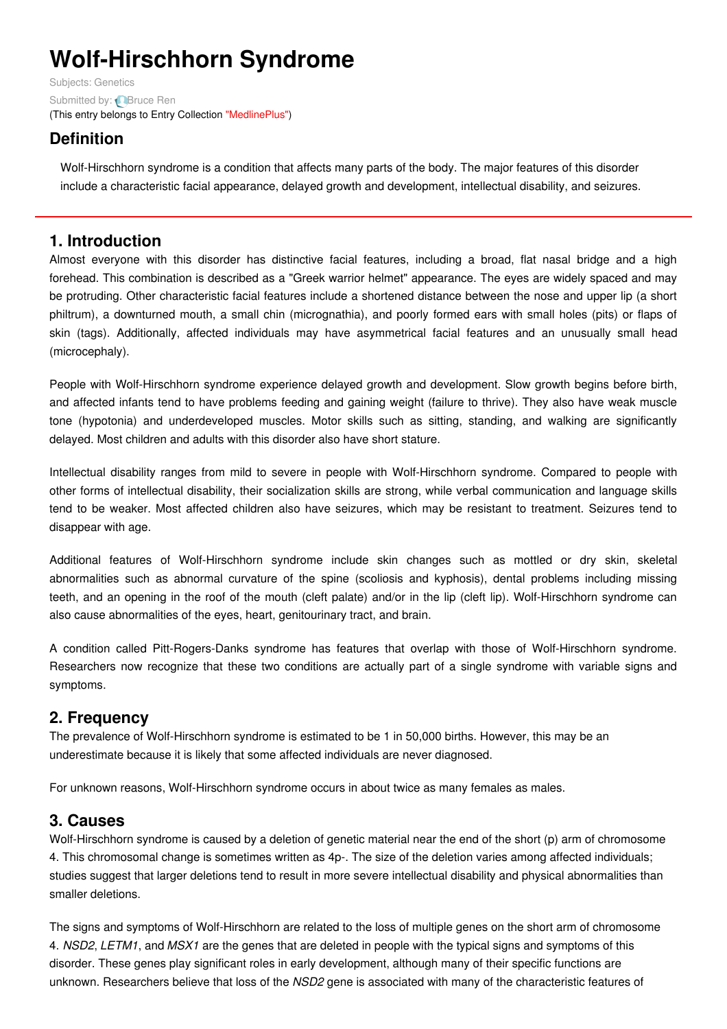# **Wolf-Hirschhorn Syndrome**

Subjects: [Genetics](https://encyclopedia.pub/item/subject/56) Submitted by: **[Bruce](https://sciprofiles.com/profile/1093911) Ren** (This entry belongs to Entry Collection ["MedlinePlus"](https://encyclopedia.pub/entry/collection/24))

## **Definition**

Wolf-Hirschhorn syndrome is a condition that affects many parts of the body. The major features of this disorder include a characteristic facial appearance, delayed growth and development, intellectual disability, and seizures.

## **1. Introduction**

Almost everyone with this disorder has distinctive facial features, including a broad, flat nasal bridge and a high forehead. This combination is described as a "Greek warrior helmet" appearance. The eyes are widely spaced and may be protruding. Other characteristic facial features include a shortened distance between the nose and upper lip (a short philtrum), a downturned mouth, a small chin (micrognathia), and poorly formed ears with small holes (pits) or flaps of skin (tags). Additionally, affected individuals may have asymmetrical facial features and an unusually small head (microcephaly).

People with Wolf-Hirschhorn syndrome experience delayed growth and development. Slow growth begins before birth, and affected infants tend to have problems feeding and gaining weight (failure to thrive). They also have weak muscle tone (hypotonia) and underdeveloped muscles. Motor skills such as sitting, standing, and walking are significantly delayed. Most children and adults with this disorder also have short stature.

Intellectual disability ranges from mild to severe in people with Wolf-Hirschhorn syndrome. Compared to people with other forms of intellectual disability, their socialization skills are strong, while verbal communication and language skills tend to be weaker. Most affected children also have seizures, which may be resistant to treatment. Seizures tend to disappear with age.

Additional features of Wolf-Hirschhorn syndrome include skin changes such as mottled or dry skin, skeletal abnormalities such as abnormal curvature of the spine (scoliosis and kyphosis), dental problems including missing teeth, and an opening in the roof of the mouth (cleft palate) and/or in the lip (cleft lip). Wolf-Hirschhorn syndrome can also cause abnormalities of the eyes, heart, genitourinary tract, and brain.

A condition called Pitt-Rogers-Danks syndrome has features that overlap with those of Wolf-Hirschhorn syndrome. Researchers now recognize that these two conditions are actually part of a single syndrome with variable signs and symptoms.

## **2. Frequency**

The prevalence of Wolf-Hirschhorn syndrome is estimated to be 1 in 50,000 births. However, this may be an underestimate because it is likely that some affected individuals are never diagnosed.

For unknown reasons, Wolf-Hirschhorn syndrome occurs in about twice as many females as males.

## **3. Causes**

Wolf-Hirschhorn syndrome is caused by a deletion of genetic material near the end of the short (p) arm of chromosome 4. This chromosomal change is sometimes written as 4p-. The size of the deletion varies among affected individuals; studies suggest that larger deletions tend to result in more severe intellectual disability and physical abnormalities than smaller deletions.

The signs and symptoms of Wolf-Hirschhorn are related to the loss of multiple genes on the short arm of chromosome 4. *NSD2*, *LETM1*, and *MSX1* are the genes that are deleted in people with the typical signs and symptoms of this disorder. These genes play significant roles in early development, although many of their specific functions are unknown. Researchers believe that loss of the *NSD2* gene is associated with many of the characteristic features of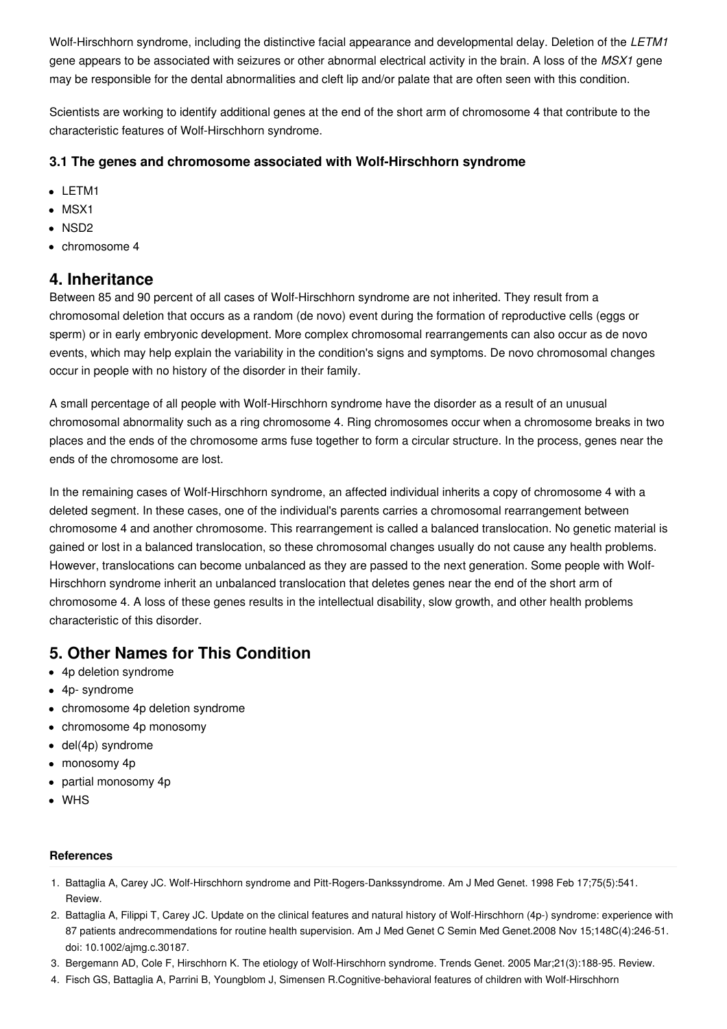Wolf-Hirschhorn syndrome, including the distinctive facial appearance and developmental delay. Deletion of the *LETM1* gene appears to be associated with seizures or other abnormal electrical activity in the brain. A loss of the *MSX1* gene may be responsible for the dental abnormalities and cleft lip and/or palate that are often seen with this condition.

Scientists are working to identify additional genes at the end of the short arm of chromosome 4 that contribute to the characteristic features of Wolf-Hirschhorn syndrome.

#### **3.1 The genes and chromosome associated with Wolf-Hirschhorn syndrome**

- LETM1
- $-MSX1$
- NSD2
- chromosome 4

### **4. Inheritance**

Between 85 and 90 percent of all cases of Wolf-Hirschhorn syndrome are not inherited. They result from a chromosomal deletion that occurs as a random (de novo) event during the formation of reproductive cells (eggs or sperm) or in early embryonic development. More complex chromosomal rearrangements can also occur as de novo events, which may help explain the variability in the condition's signs and symptoms. De novo chromosomal changes occur in people with no history of the disorder in their family.

A small percentage of all people with Wolf-Hirschhorn syndrome have the disorder as a result of an unusual chromosomal abnormality such as a ring chromosome 4. Ring chromosomes occur when a chromosome breaks in two places and the ends of the chromosome arms fuse together to form a circular structure. In the process, genes near the ends of the chromosome are lost.

In the remaining cases of Wolf-Hirschhorn syndrome, an affected individual inherits a copy of chromosome 4 with a deleted segment. In these cases, one of the individual's parents carries a chromosomal rearrangement between chromosome 4 and another chromosome. This rearrangement is called a balanced translocation. No genetic material is gained or lost in a balanced translocation, so these chromosomal changes usually do not cause any health problems. However, translocations can become unbalanced as they are passed to the next generation. Some people with Wolf-Hirschhorn syndrome inherit an unbalanced translocation that deletes genes near the end of the short arm of chromosome 4. A loss of these genes results in the intellectual disability, slow growth, and other health problems characteristic of this disorder.

## **5. Other Names for This Condition**

- 4p deletion syndrome
- 4p- syndrome
- chromosome 4p deletion syndrome
- chromosome 4p monosomy
- del(4p) syndrome
- monosomy 4p
- partial monosomy 4p
- WHS

#### **References**

- 1. Battaglia A, Carey JC. Wolf-Hirschhorn syndrome and Pitt-Rogers-Dankssyndrome. Am J Med Genet. 1998 Feb 17;75(5):541. Review.
- 2. Battaglia A, Filippi T, Carey JC. Update on the clinical features and natural history of Wolf-Hirschhorn (4p-) syndrome: experience with 87 patients andrecommendations for routine health supervision. Am J Med Genet C Semin Med Genet.2008 Nov 15;148C(4):246-51. doi: 10.1002/ajmg.c.30187.
- 3. Bergemann AD, Cole F, Hirschhorn K. The etiology of Wolf-Hirschhorn syndrome. Trends Genet. 2005 Mar;21(3):188-95. Review.
- 4. Fisch GS, Battaglia A, Parrini B, Youngblom J, Simensen R.Cognitive-behavioral features of children with Wolf-Hirschhorn